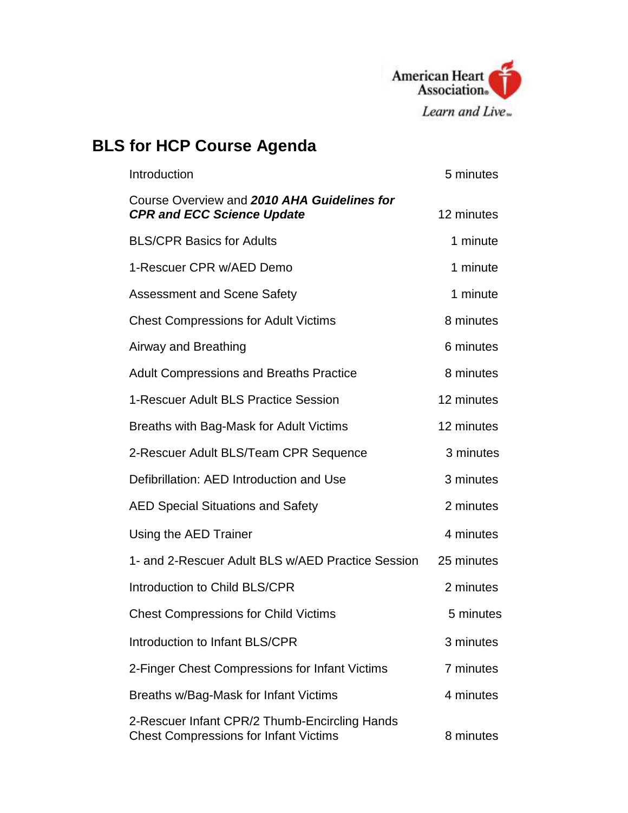

## **BLS for HCP Course Agenda**

| Introduction                                                                                  | 5 minutes  |
|-----------------------------------------------------------------------------------------------|------------|
| Course Overview and 2010 AHA Guidelines for<br><b>CPR and ECC Science Update</b>              | 12 minutes |
| <b>BLS/CPR Basics for Adults</b>                                                              | 1 minute   |
| 1-Rescuer CPR w/AED Demo                                                                      | 1 minute   |
| <b>Assessment and Scene Safety</b>                                                            | 1 minute   |
| <b>Chest Compressions for Adult Victims</b>                                                   | 8 minutes  |
| Airway and Breathing                                                                          | 6 minutes  |
| <b>Adult Compressions and Breaths Practice</b>                                                | 8 minutes  |
| 1-Rescuer Adult BLS Practice Session                                                          | 12 minutes |
| Breaths with Bag-Mask for Adult Victims                                                       | 12 minutes |
| 2-Rescuer Adult BLS/Team CPR Sequence                                                         | 3 minutes  |
| Defibrillation: AED Introduction and Use                                                      | 3 minutes  |
| <b>AED Special Situations and Safety</b>                                                      | 2 minutes  |
| Using the AED Trainer                                                                         | 4 minutes  |
| 1- and 2-Rescuer Adult BLS w/AED Practice Session                                             | 25 minutes |
| Introduction to Child BLS/CPR                                                                 | 2 minutes  |
| <b>Chest Compressions for Child Victims</b>                                                   | 5 minutes  |
| Introduction to Infant BLS/CPR                                                                | 3 minutes  |
| 2-Finger Chest Compressions for Infant Victims                                                | 7 minutes  |
| Breaths w/Bag-Mask for Infant Victims                                                         | 4 minutes  |
| 2-Rescuer Infant CPR/2 Thumb-Encircling Hands<br><b>Chest Compressions for Infant Victims</b> | 8 minutes  |